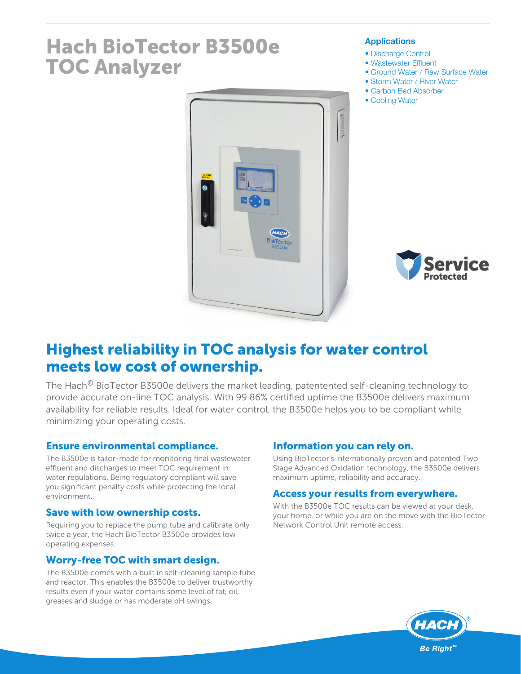# Hach BioTector B3500e TOC Analyzer

#### **Applications**

- Discharge Control
- Wastewater Effluent
- Ground Water / Raw Surface Water
- Storm Water / River Water
- Carbon Bed Absorber
- Cooling Water





## Highest reliability in TOC analysis for water control meets low cost of ownership.

The Hach<sup>®</sup> BioTector B3500e delivers the market leading, patentented self-cleaning technology to provide accurate on-line TOC analysis. With 99.86% certified uptime the B3500e delivers maximum availability for reliable results. Ideal for water control, the B3500e helps you to be compliant while minimizing your operating costs.

## Ensure environmental compliance.

The B3500e is tailor-made for monitoring final wastewater effluent and discharges to meet TOC requirement in water regulations. Being regulatory compliant will save you significant penalty costs while protecting the local environment.

## Save with low ownership costs.

Requiring you to replace the pump tube and calibrate only twice a year, the Hach BioTector B3500e provides low operating expenses.

## Worry-free TOC with smart design.

The B3500e comes with a built in self-cleaning sample tube and reactor. This enables the B3500e to deliver trustworthy results even if your water contains some level of fat, oil, greases and sludge or has moderate pH swings.

## Information you can rely on.

Using BioTector's internationally proven and patented Two Stage Advanced Oxidation technology, the B3500e delivers maximum uptime, reliability and accuracy.

## Access your results from everywhere.

With the B3500e TOC results can be viewed at your desk, your home, or while you are on the move with the BioTector Network Control Unit remote access.

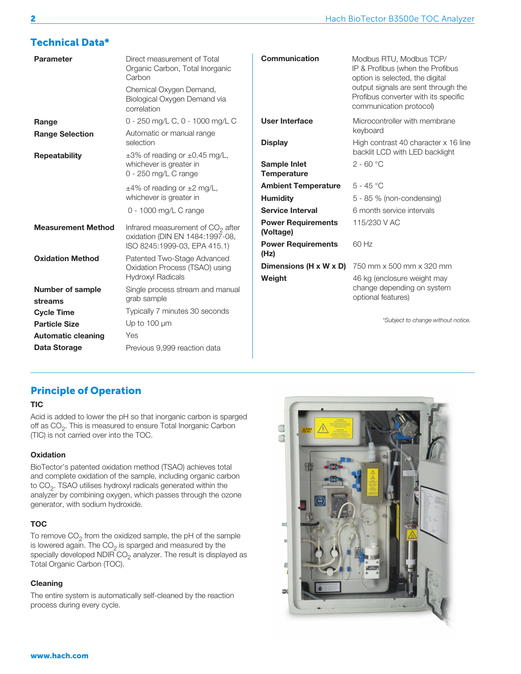## Technical Data\*

| <b>Parameter</b>                | Direct measurement of Total<br>Organic Carbon, Total Inorganic<br>Carbon<br>Chemical Oxygen Demand,<br>Biological Oxygen Demand via<br>correlation | <b>Communication</b>                      | Modbus RTU, Modbus TCP/<br>IP & Profibus (when the Profibus<br>option is selected, the digital<br>output signals are sent through the<br>Profibus converter with its specific<br>communication protocol) |
|---------------------------------|----------------------------------------------------------------------------------------------------------------------------------------------------|-------------------------------------------|----------------------------------------------------------------------------------------------------------------------------------------------------------------------------------------------------------|
| Range<br><b>Range Selection</b> | 0 - 250 mg/L C, 0 - 1000 mg/L C<br>Automatic or manual range                                                                                       | <b>User Interface</b>                     | Microcontroller with membrane<br>keyboard                                                                                                                                                                |
| <b>Repeatability</b>            | selection<br>$\pm 3\%$ of reading or $\pm 0.45$ mg/L,                                                                                              | <b>Display</b>                            | High contrast 40 character x 16 line<br>backlit LCD with LED backlight                                                                                                                                   |
|                                 | whichever is greater in<br>0 - 250 mg/L C range                                                                                                    | <b>Sample Inlet</b><br><b>Temperature</b> | $2 - 60 °C$                                                                                                                                                                                              |
|                                 | $\pm 4\%$ of reading or $\pm 2$ mg/L,                                                                                                              | <b>Ambient Temperature</b>                | $5 - 45 °C$                                                                                                                                                                                              |
|                                 | whichever is greater in                                                                                                                            | <b>Humidity</b>                           | 5 - 85 % (non-condensing)                                                                                                                                                                                |
|                                 | 0 - 1000 mg/L C range                                                                                                                              | <b>Service Interval</b>                   | 6 month service intervals                                                                                                                                                                                |
| <b>Measurement Method</b>       | Infrared measurement of $CO2$ after<br>oxidation (DIN EN 1484:1997-08,                                                                             | <b>Power Requirements</b><br>(Voltage)    | 115/230 V AC                                                                                                                                                                                             |
|                                 | ISO 8245:1999-03, EPA 415.1)                                                                                                                       | <b>Power Requirements</b><br>(Hz)         | 60 Hz                                                                                                                                                                                                    |
| <b>Oxidation Method</b>         | Patented Two-Stage Advanced<br>Oxidation Process (TSAO) using                                                                                      | Dimensions (H x W x D)                    | 750 mm x 500 mm x 320 mm                                                                                                                                                                                 |
| <b>Number of sample</b>         | <b>Hydroxyl Radicals</b><br>Single process stream and manual                                                                                       | Weight                                    | 46 kg (enclosure weight may<br>change depending on system                                                                                                                                                |
| streams                         | grab sample                                                                                                                                        |                                           | optional features)                                                                                                                                                                                       |
| <b>Cycle Time</b>               | Typically 7 minutes 30 seconds                                                                                                                     |                                           |                                                                                                                                                                                                          |
| <b>Particle Size</b>            | Up to $100 \mu m$                                                                                                                                  |                                           | *Subject to change without notice.                                                                                                                                                                       |
| <b>Automatic cleaning</b>       | Yes                                                                                                                                                |                                           |                                                                                                                                                                                                          |
| Data Storage                    | Previous 9,999 reaction data                                                                                                                       |                                           |                                                                                                                                                                                                          |

## Principle of Operation

#### **TIC**

Acid is added to lower the pH so that inorganic carbon is sparged off as CO<sub>2</sub>. This is measured to ensure Total Inorganic Carbon (TIC) is not carried over into the TOC.

#### **Oxidation**

BioTector's patented oxidation method (TSAO) achieves total and complete oxidation of the sample, including organic carbon to  $CO<sub>2</sub>$ . TSAO utilises hydroxyl radicals generated within the analyzer by combining oxygen, which passes through the ozone generator, with sodium hydroxide.

#### **TOC**

To remove  $CO<sub>2</sub>$  from the oxidized sample, the pH of the sample is lowered again. The  $CO<sub>2</sub>$  is sparged and measured by the specially developed NDIR  $CO<sub>2</sub>$  analyzer. The result is displayed as Total Organic Carbon (TOC).

#### Cleaning

The entire system is automatically self-cleaned by the reaction process during every cycle.

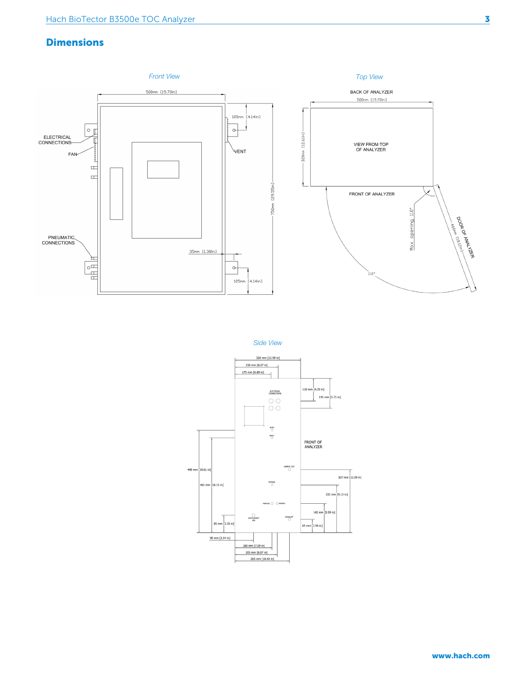## **Dimensions**





*Side View*